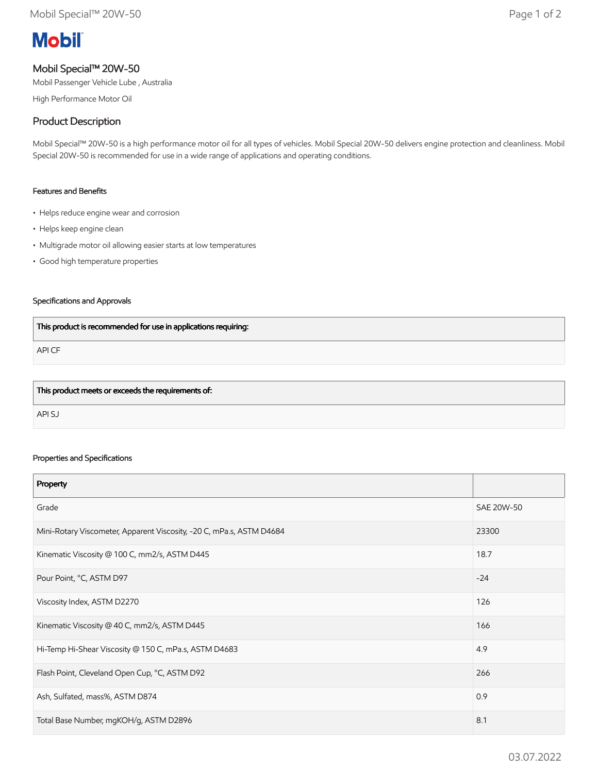# **Mobil**

## Mobil Special™ 20W-50

Mobil Passenger Vehicle Lube , Australia

High Performance Motor Oil

## Product Description

Mobil Special™ 20W-50 is a high performance motor oil for all types of vehicles. Mobil Special 20W-50 delivers engine protection and cleanliness. Mobil Special 20W-50 is recommended for use in a wide range of applications and operating conditions.

### Features and Benefits

- Helps reduce engine wear and corrosion
- Helps keep engine clean
- Multigrade motor oil allowing easier starts at low temperatures
- Good high temperature properties

#### Specifications and Approvals

| This product is recommended for use in applications requiring: |
|----------------------------------------------------------------|
| API CF                                                         |
|                                                                |
| This product meets or exceeds the requirements of:             |
| APIS.                                                          |

#### Properties and Specifications

| Property                                                             |            |
|----------------------------------------------------------------------|------------|
| Grade                                                                | SAE 20W-50 |
| Mini-Rotary Viscometer, Apparent Viscosity, -20 C, mPa.s, ASTM D4684 | 23300      |
| Kinematic Viscosity @ 100 C, mm2/s, ASTM D445                        | 18.7       |
| Pour Point, °C, ASTM D97                                             | $-24$      |
| Viscosity Index, ASTM D2270                                          | 126        |
| Kinematic Viscosity @ 40 C, mm2/s, ASTM D445                         | 166        |
| Hi-Temp Hi-Shear Viscosity @ 150 C, mPa.s, ASTM D4683                | 4.9        |
| Flash Point, Cleveland Open Cup, °C, ASTM D92                        | 266        |
| Ash, Sulfated, mass%, ASTM D874                                      | 0.9        |
| Total Base Number, mgKOH/g, ASTM D2896                               | 8.1        |